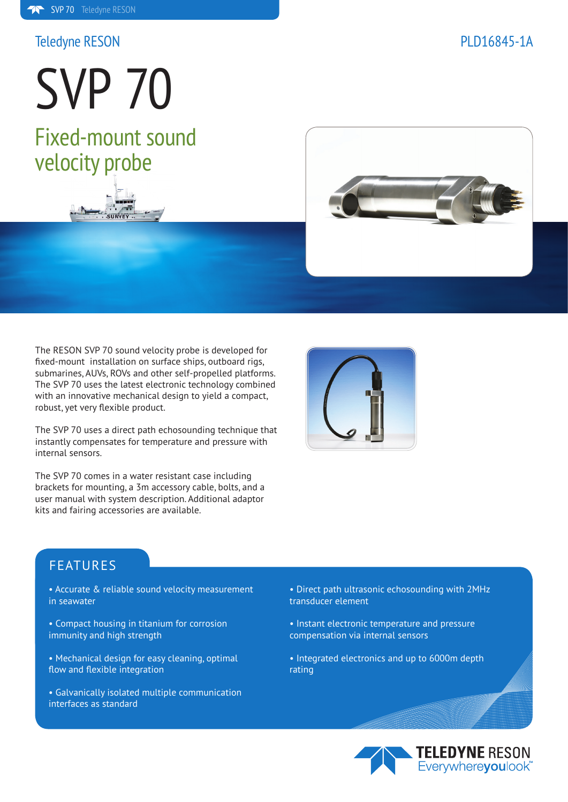## Teledyne RESON PLD16845-1A

SVP 70 Fixed-mount sound velocity probe





The RESON SVP 70 sound velocity probe is developed for fixed-mount installation on surface ships, outboard rigs, submarines, AUVs, ROVs and other self-propelled platforms. The SVP 70 uses the latest electronic technology combined with an innovative mechanical design to yield a compact, robust, yet very flexible product.

The SVP 70 uses a direct path echosounding technique that instantly compensates for temperature and pressure with internal sensors.

The SVP 70 comes in a water resistant case including brackets for mounting, a 3m accessory cable, bolts, and a user manual with system description. Additional adaptor kits and fairing accessories are available.



# FEATURES

- Accurate & reliable sound velocity measurement in seawater
- Compact housing in titanium for corrosion immunity and high strength
- Mechanical design for easy cleaning, optimal flow and flexible integration
- Galvanically isolated multiple communication interfaces as standard
- Direct path ultrasonic echosounding with 2MHz transducer element
- Instant electronic temperature and pressure compensation via internal sensors
- Integrated electronics and up to 6000m depth rating